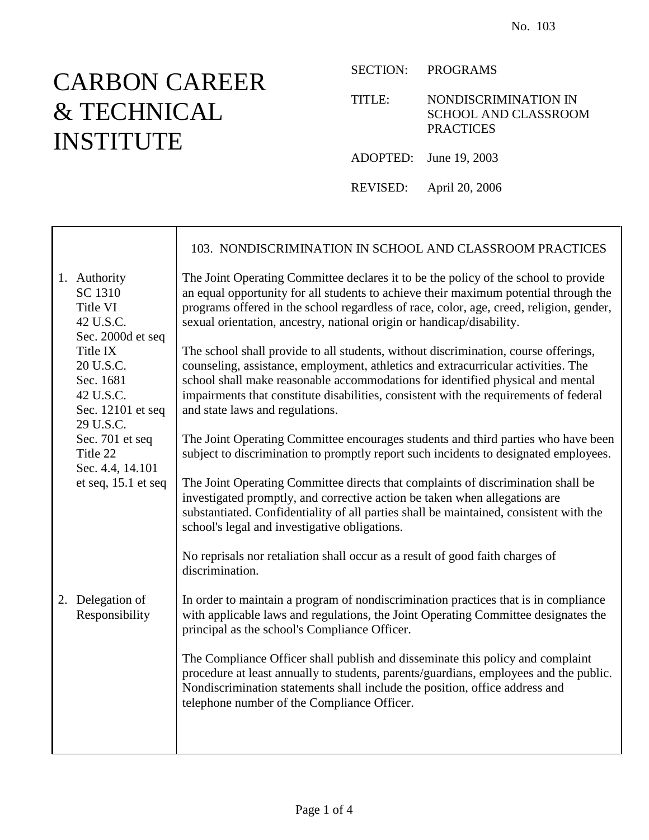## CARBON CAREER & TECHNICAL INSTITUTE

SECTION: PROGRAMS

TITLE: NONDISCRIMINATION IN SCHOOL AND CLASSROOM **PRACTICES** 

ADOPTED: June 19, 2003

REVISED: April 20, 2006

|                                                                                   | 103. NONDISCRIMINATION IN SCHOOL AND CLASSROOM PRACTICES                                                                                                                                                                                                                                                                                                                               |
|-----------------------------------------------------------------------------------|----------------------------------------------------------------------------------------------------------------------------------------------------------------------------------------------------------------------------------------------------------------------------------------------------------------------------------------------------------------------------------------|
| 1. Authority<br>SC 1310<br>Title VI<br>42 U.S.C.<br>Sec. 2000d et seq             | The Joint Operating Committee declares it to be the policy of the school to provide<br>an equal opportunity for all students to achieve their maximum potential through the<br>programs offered in the school regardless of race, color, age, creed, religion, gender,<br>sexual orientation, ancestry, national origin or handicap/disability.                                        |
| Title IX<br>20 U.S.C.<br>Sec. 1681<br>42 U.S.C.<br>Sec. 12101 et seq<br>29 U.S.C. | The school shall provide to all students, without discrimination, course offerings,<br>counseling, assistance, employment, athletics and extracurricular activities. The<br>school shall make reasonable accommodations for identified physical and mental<br>impairments that constitute disabilities, consistent with the requirements of federal<br>and state laws and regulations. |
| Sec. 701 et seq<br>Title 22<br>Sec. 4.4, 14.101                                   | The Joint Operating Committee encourages students and third parties who have been<br>subject to discrimination to promptly report such incidents to designated employees.                                                                                                                                                                                                              |
| et seq, 15.1 et seq                                                               | The Joint Operating Committee directs that complaints of discrimination shall be<br>investigated promptly, and corrective action be taken when allegations are<br>substantiated. Confidentiality of all parties shall be maintained, consistent with the<br>school's legal and investigative obligations.                                                                              |
|                                                                                   | No reprisals nor retaliation shall occur as a result of good faith charges of<br>discrimination.                                                                                                                                                                                                                                                                                       |
| 2. Delegation of<br>Responsibility                                                | In order to maintain a program of nondiscrimination practices that is in compliance<br>with applicable laws and regulations, the Joint Operating Committee designates the<br>principal as the school's Compliance Officer.                                                                                                                                                             |
|                                                                                   | The Compliance Officer shall publish and disseminate this policy and complaint<br>procedure at least annually to students, parents/guardians, employees and the public.<br>Nondiscrimination statements shall include the position, office address and<br>telephone number of the Compliance Officer.                                                                                  |
|                                                                                   |                                                                                                                                                                                                                                                                                                                                                                                        |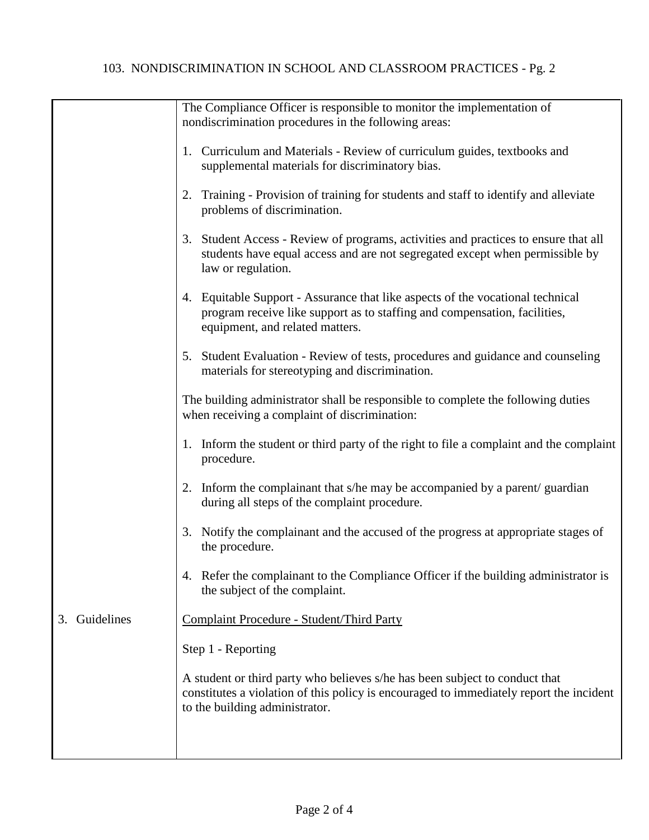|                  | The Compliance Officer is responsible to monitor the implementation of<br>nondiscrimination procedures in the following areas:                                                                           |
|------------------|----------------------------------------------------------------------------------------------------------------------------------------------------------------------------------------------------------|
|                  | Curriculum and Materials - Review of curriculum guides, textbooks and<br>1.<br>supplemental materials for discriminatory bias.                                                                           |
|                  | 2. Training - Provision of training for students and staff to identify and alleviate<br>problems of discrimination.                                                                                      |
|                  | 3. Student Access - Review of programs, activities and practices to ensure that all<br>students have equal access and are not segregated except when permissible by<br>law or regulation.                |
|                  | 4. Equitable Support - Assurance that like aspects of the vocational technical<br>program receive like support as to staffing and compensation, facilities,<br>equipment, and related matters.           |
|                  | 5. Student Evaluation - Review of tests, procedures and guidance and counseling<br>materials for stereotyping and discrimination.                                                                        |
|                  | The building administrator shall be responsible to complete the following duties<br>when receiving a complaint of discrimination:                                                                        |
|                  | 1. Inform the student or third party of the right to file a complaint and the complaint<br>procedure.                                                                                                    |
|                  | 2. Inform the complainant that s/he may be accompanied by a parent/ guardian<br>during all steps of the complaint procedure.                                                                             |
|                  | 3. Notify the complainant and the accused of the progress at appropriate stages of<br>the procedure.                                                                                                     |
|                  | 4. Refer the complainant to the Compliance Officer if the building administrator is<br>the subject of the complaint.                                                                                     |
| Guidelines<br>3. | Complaint Procedure - Student/Third Party                                                                                                                                                                |
|                  | Step 1 - Reporting                                                                                                                                                                                       |
|                  | A student or third party who believes s/he has been subject to conduct that<br>constitutes a violation of this policy is encouraged to immediately report the incident<br>to the building administrator. |
|                  |                                                                                                                                                                                                          |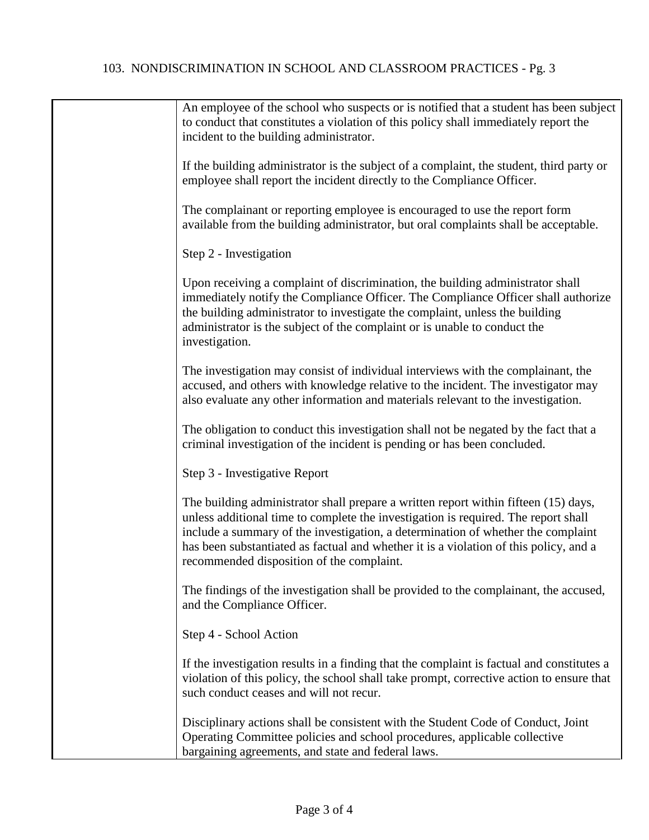## 103. NONDISCRIMINATION IN SCHOOL AND CLASSROOM PRACTICES - Pg. 3

| An employee of the school who suspects or is notified that a student has been subject<br>to conduct that constitutes a violation of this policy shall immediately report the<br>incident to the building administrator.                                                                                                                                                                             |
|-----------------------------------------------------------------------------------------------------------------------------------------------------------------------------------------------------------------------------------------------------------------------------------------------------------------------------------------------------------------------------------------------------|
| If the building administrator is the subject of a complaint, the student, third party or<br>employee shall report the incident directly to the Compliance Officer.                                                                                                                                                                                                                                  |
| The complainant or reporting employee is encouraged to use the report form<br>available from the building administrator, but oral complaints shall be acceptable.                                                                                                                                                                                                                                   |
| Step 2 - Investigation                                                                                                                                                                                                                                                                                                                                                                              |
| Upon receiving a complaint of discrimination, the building administrator shall<br>immediately notify the Compliance Officer. The Compliance Officer shall authorize<br>the building administrator to investigate the complaint, unless the building<br>administrator is the subject of the complaint or is unable to conduct the<br>investigation.                                                  |
| The investigation may consist of individual interviews with the complainant, the<br>accused, and others with knowledge relative to the incident. The investigator may<br>also evaluate any other information and materials relevant to the investigation.                                                                                                                                           |
| The obligation to conduct this investigation shall not be negated by the fact that a<br>criminal investigation of the incident is pending or has been concluded.                                                                                                                                                                                                                                    |
| Step 3 - Investigative Report                                                                                                                                                                                                                                                                                                                                                                       |
| The building administrator shall prepare a written report within fifteen (15) days,<br>unless additional time to complete the investigation is required. The report shall<br>include a summary of the investigation, a determination of whether the complaint<br>has been substantiated as factual and whether it is a violation of this policy, and a<br>recommended disposition of the complaint. |
| The findings of the investigation shall be provided to the complainant, the accused,<br>and the Compliance Officer.                                                                                                                                                                                                                                                                                 |
| Step 4 - School Action                                                                                                                                                                                                                                                                                                                                                                              |
| If the investigation results in a finding that the complaint is factual and constitutes a<br>violation of this policy, the school shall take prompt, corrective action to ensure that<br>such conduct ceases and will not recur.                                                                                                                                                                    |
| Disciplinary actions shall be consistent with the Student Code of Conduct, Joint<br>Operating Committee policies and school procedures, applicable collective<br>bargaining agreements, and state and federal laws.                                                                                                                                                                                 |